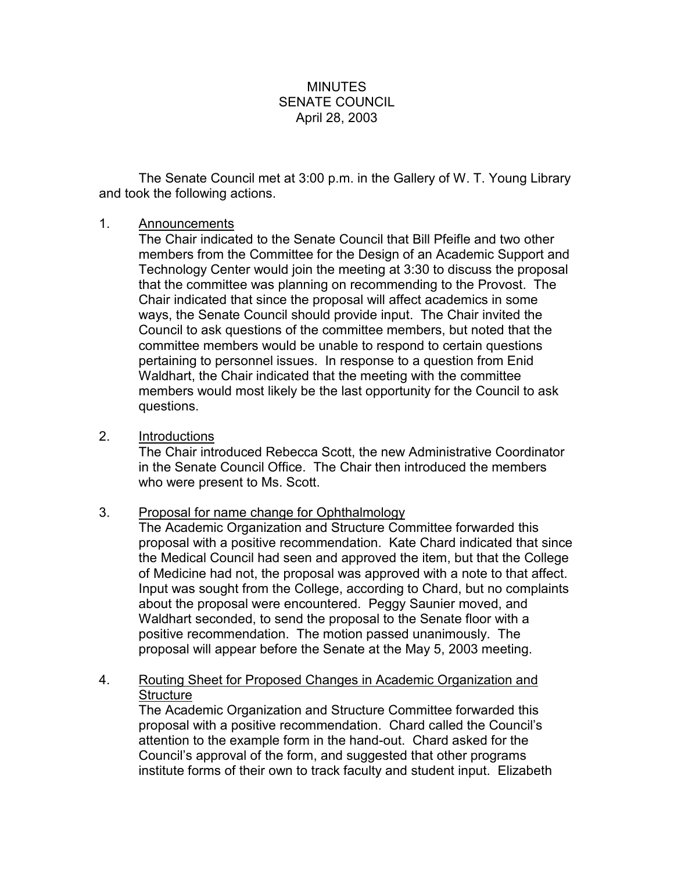## MINUTES SENATE COUNCIL April 28, 2003

The Senate Council met at 3:00 p.m. in the Gallery of W. T. Young Library and took the following actions.

## 1. Announcements

The Chair indicated to the Senate Council that Bill Pfeifle and two other members from the Committee for the Design of an Academic Support and Technology Center would join the meeting at 3:30 to discuss the proposal that the committee was planning on recommending to the Provost. The Chair indicated that since the proposal will affect academics in some ways, the Senate Council should provide input. The Chair invited the Council to ask questions of the committee members, but noted that the committee members would be unable to respond to certain questions pertaining to personnel issues. In response to a question from Enid Waldhart, the Chair indicated that the meeting with the committee members would most likely be the last opportunity for the Council to ask questions.

2. Introductions

The Chair introduced Rebecca Scott, the new Administrative Coordinator in the Senate Council Office. The Chair then introduced the members who were present to Ms. Scott.

3. Proposal for name change for Ophthalmology

The Academic Organization and Structure Committee forwarded this proposal with a positive recommendation. Kate Chard indicated that since the Medical Council had seen and approved the item, but that the College of Medicine had not, the proposal was approved with a note to that affect. Input was sought from the College, according to Chard, but no complaints about the proposal were encountered. Peggy Saunier moved, and Waldhart seconded, to send the proposal to the Senate floor with a positive recommendation. The motion passed unanimously. The proposal will appear before the Senate at the May 5, 2003 meeting.

4. Routing Sheet for Proposed Changes in Academic Organization and **Structure** 

The Academic Organization and Structure Committee forwarded this proposal with a positive recommendation. Chard called the Council's attention to the example form in the hand-out. Chard asked for the Council's approval of the form, and suggested that other programs institute forms of their own to track faculty and student input. Elizabeth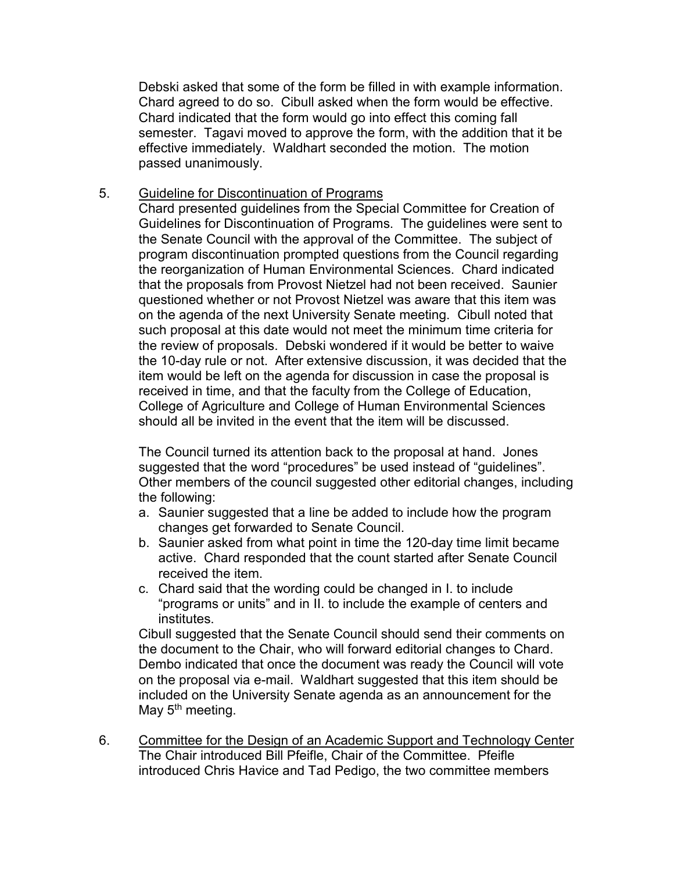Debski asked that some of the form be filled in with example information. Chard agreed to do so. Cibull asked when the form would be effective. Chard indicated that the form would go into effect this coming fall semester. Tagavi moved to approve the form, with the addition that it be effective immediately. Waldhart seconded the motion. The motion passed unanimously.

## 5. Guideline for Discontinuation of Programs

Chard presented guidelines from the Special Committee for Creation of Guidelines for Discontinuation of Programs. The guidelines were sent to the Senate Council with the approval of the Committee. The subject of program discontinuation prompted questions from the Council regarding the reorganization of Human Environmental Sciences. Chard indicated that the proposals from Provost Nietzel had not been received. Saunier questioned whether or not Provost Nietzel was aware that this item was on the agenda of the next University Senate meeting. Cibull noted that such proposal at this date would not meet the minimum time criteria for the review of proposals. Debski wondered if it would be better to waive the 10-day rule or not. After extensive discussion, it was decided that the item would be left on the agenda for discussion in case the proposal is received in time, and that the faculty from the College of Education, College of Agriculture and College of Human Environmental Sciences should all be invited in the event that the item will be discussed.

The Council turned its attention back to the proposal at hand. Jones suggested that the word "procedures" be used instead of "guidelines". Other members of the council suggested other editorial changes, including the following:

- a. Saunier suggested that a line be added to include how the program changes get forwarded to Senate Council.
- b. Saunier asked from what point in time the 120-day time limit became active. Chard responded that the count started after Senate Council received the item.
- c. Chard said that the wording could be changed in I. to include "programs or units" and in II. to include the example of centers and institutes.

Cibull suggested that the Senate Council should send their comments on the document to the Chair, who will forward editorial changes to Chard. Dembo indicated that once the document was ready the Council will vote on the proposal via e-mail. Waldhart suggested that this item should be included on the University Senate agenda as an announcement for the May  $5<sup>th</sup>$  meeting.

6. Committee for the Design of an Academic Support and Technology Center The Chair introduced Bill Pfeifle, Chair of the Committee. Pfeifle introduced Chris Havice and Tad Pedigo, the two committee members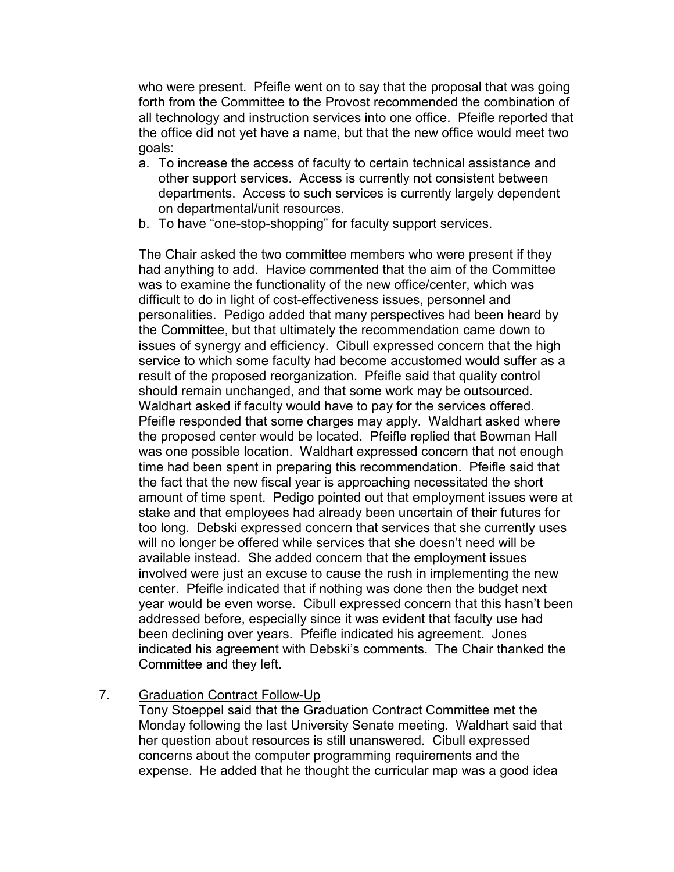who were present. Pfeifle went on to say that the proposal that was going forth from the Committee to the Provost recommended the combination of all technology and instruction services into one office. Pfeifle reported that the office did not yet have a name, but that the new office would meet two goals:

- a. To increase the access of faculty to certain technical assistance and other support services. Access is currently not consistent between departments. Access to such services is currently largely dependent on departmental/unit resources.
- b. To have "one-stop-shopping" for faculty support services.

The Chair asked the two committee members who were present if they had anything to add. Havice commented that the aim of the Committee was to examine the functionality of the new office/center, which was difficult to do in light of cost-effectiveness issues, personnel and personalities. Pedigo added that many perspectives had been heard by the Committee, but that ultimately the recommendation came down to issues of synergy and efficiency. Cibull expressed concern that the high service to which some faculty had become accustomed would suffer as a result of the proposed reorganization. Pfeifle said that quality control should remain unchanged, and that some work may be outsourced. Waldhart asked if faculty would have to pay for the services offered. Pfeifle responded that some charges may apply. Waldhart asked where the proposed center would be located. Pfeifle replied that Bowman Hall was one possible location. Waldhart expressed concern that not enough time had been spent in preparing this recommendation. Pfeifle said that the fact that the new fiscal year is approaching necessitated the short amount of time spent. Pedigo pointed out that employment issues were at stake and that employees had already been uncertain of their futures for too long. Debski expressed concern that services that she currently uses will no longer be offered while services that she doesn't need will be available instead. She added concern that the employment issues involved were just an excuse to cause the rush in implementing the new center. Pfeifle indicated that if nothing was done then the budget next year would be even worse. Cibull expressed concern that this hasn't been addressed before, especially since it was evident that faculty use had been declining over years. Pfeifle indicated his agreement. Jones indicated his agreement with Debski's comments. The Chair thanked the Committee and they left.

## 7. Graduation Contract Follow-Up

Tony Stoeppel said that the Graduation Contract Committee met the Monday following the last University Senate meeting. Waldhart said that her question about resources is still unanswered. Cibull expressed concerns about the computer programming requirements and the expense. He added that he thought the curricular map was a good idea